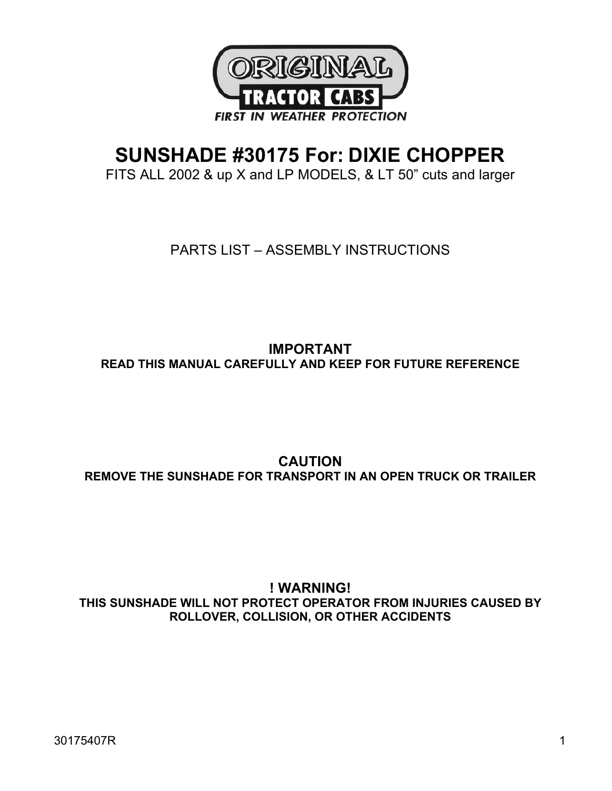

# **SUNSHADE #30175 For: DIXIE CHOPPER**

FITS ALL 2002 & up X and LP MODELS, & LT 50" cuts and larger

PARTS LIST – ASSEMBLY INSTRUCTIONS

**IMPORTANT READ THIS MANUAL CAREFULLY AND KEEP FOR FUTURE REFERENCE** 

**CAUTION REMOVE THE SUNSHADE FOR TRANSPORT IN AN OPEN TRUCK OR TRAILER** 

**! WARNING! THIS SUNSHADE WILL NOT PROTECT OPERATOR FROM INJURIES CAUSED BY ROLLOVER, COLLISION, OR OTHER ACCIDENTS**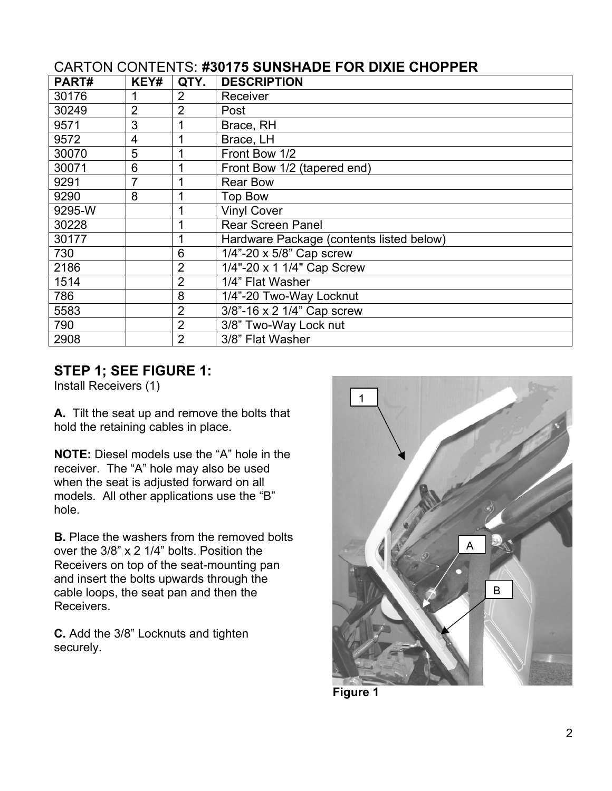| PART#  | KEY#           | QTY.           | <b>DESCRIPTION</b>                       |
|--------|----------------|----------------|------------------------------------------|
| 30176  |                | $\overline{2}$ | Receiver                                 |
| 30249  | $\overline{2}$ | $\overline{2}$ | Post                                     |
| 9571   | 3              |                | Brace, RH                                |
| 9572   | $\overline{4}$ | 1              | Brace, LH                                |
| 30070  | 5              | 1              | Front Bow 1/2                            |
| 30071  | 6              | 1              | Front Bow 1/2 (tapered end)              |
| 9291   | 7              | 1              | <b>Rear Bow</b>                          |
| 9290   | 8              | 1              | Top Bow                                  |
| 9295-W |                | 1              | <b>Vinyl Cover</b>                       |
| 30228  |                | 1              | <b>Rear Screen Panel</b>                 |
| 30177  |                | 1              | Hardware Package (contents listed below) |
| 730    |                | 6              | $1/4$ "-20 x 5/8" Cap screw              |
| 2186   |                | $\overline{2}$ | 1/4"-20 x 1 1/4" Cap Screw               |
| 1514   |                | $\overline{2}$ | 1/4" Flat Washer                         |
| 786    |                | 8              | 1/4"-20 Two-Way Locknut                  |
| 5583   |                | $\overline{2}$ | 3/8"-16 x 2 1/4" Cap screw               |
| 790    |                | $\overline{2}$ | 3/8" Two-Way Lock nut                    |
| 2908   |                | $\overline{2}$ | 3/8" Flat Washer                         |

# CARTON CONTENTS: **#30175 SUNSHADE FOR DIXIE CHOPPER**

### **STEP 1; SEE FIGURE 1:**

Install Receivers (1)

**A.** Tilt the seat up and remove the bolts that hold the retaining cables in place.

**NOTE:** Diesel models use the "A" hole in the receiver. The "A" hole may also be used when the seat is adjusted forward on all models. All other applications use the "B" hole.

**B.** Place the washers from the removed bolts over the 3/8" x 2 1/4" bolts. Position the Receivers on top of the seat-mounting pan and insert the bolts upwards through the cable loops, the seat pan and then the Receivers.

**C.** Add the 3/8" Locknuts and tighten securely.



**Figure 1**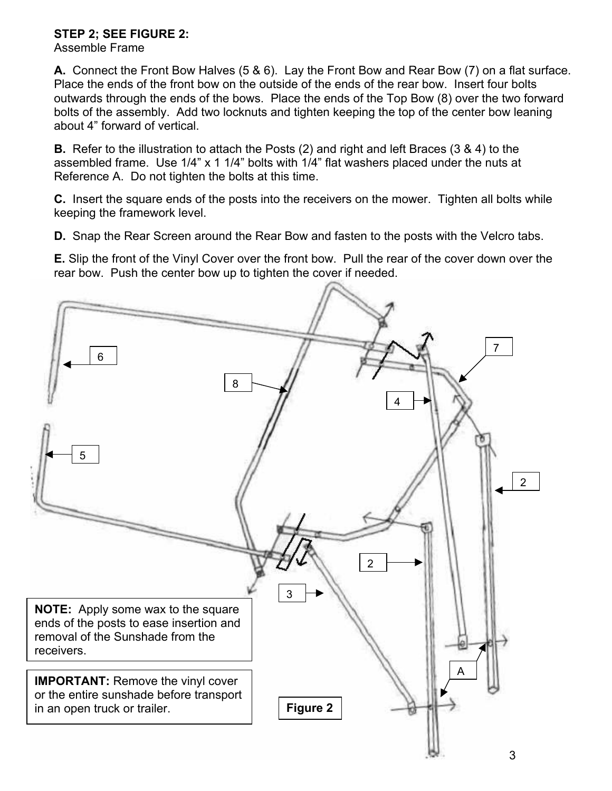### **STEP 2; SEE FIGURE 2:**

Assemble Frame

**A.** Connect the Front Bow Halves (5 & 6). Lay the Front Bow and Rear Bow (7) on a flat surface. Place the ends of the front bow on the outside of the ends of the rear bow. Insert four bolts outwards through the ends of the bows. Place the ends of the Top Bow (8) over the two forward bolts of the assembly. Add two locknuts and tighten keeping the top of the center bow leaning about 4" forward of vertical.

**B.** Refer to the illustration to attach the Posts (2) and right and left Braces (3 & 4) to the assembled frame. Use 1/4" x 1 1/4" bolts with 1/4" flat washers placed under the nuts at Reference A. Do not tighten the bolts at this time.

**C.** Insert the square ends of the posts into the receivers on the mower. Tighten all bolts while keeping the framework level.

**D.** Snap the Rear Screen around the Rear Bow and fasten to the posts with the Velcro tabs.

**E.** Slip the front of the Vinyl Cover over the front bow. Pull the rear of the cover down over the rear bow. Push the center bow up to tighten the cover if needed.